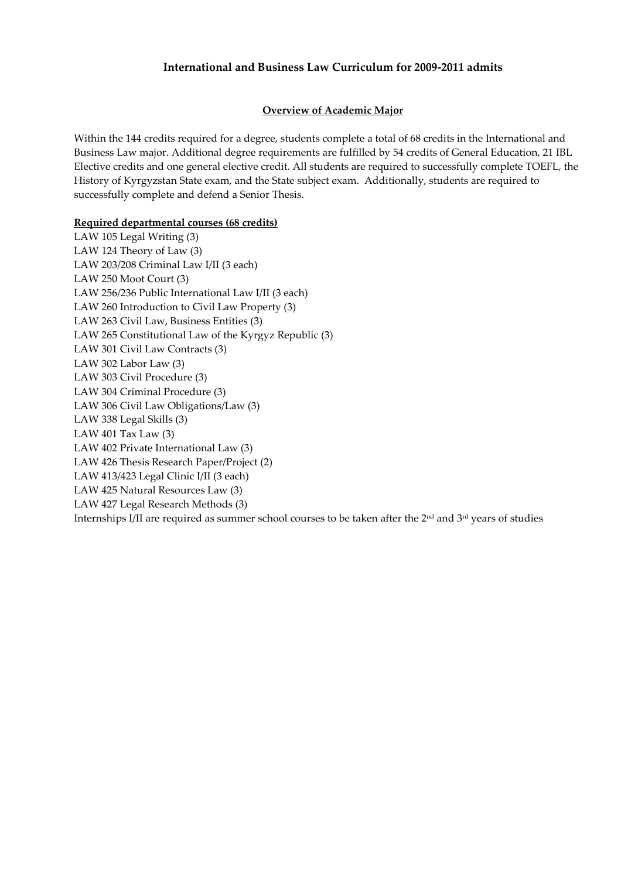## International and Business Law Curriculum for 2009-2011 admits

### Overview of Academic Major

Within the 144 credits required for a degree, students complete a total of 68 credits in the International and Business Law major. Additional degree requirements are fulfilled by 54 credits of General Education, 21 IBL Elective credits and one general elective credit. All students are required to successfully complete TOEFL, the History of Kyrgyzstan State exam, and the State subject exam. Additionally, students are required to successfully complete and defend a Senior Thesis.

### Required departmental courses (68 credits)

LAW 105 Legal Writing (3) LAW 124 Theory of Law (3) LAW 203/208 Criminal Law I/II (3 each) LAW 250 Moot Court (3) LAW 256/236 Public International Law I/II (3 each) LAW 260 Introduction to Civil Law Property (3) LAW 263 Civil Law, Business Entities (3) LAW 265 Constitutional Law of the Kyrgyz Republic (3) LAW 301 Civil Law Contracts (3) LAW 302 Labor Law (3) LAW 303 Civil Procedure (3) LAW 304 Criminal Procedure (3) LAW 306 Civil Law Obligations/Law (3) LAW 338 Legal Skills (3) LAW 401 Tax Law (3) LAW 402 Private International Law (3) LAW 426 Thesis Research Paper/Project (2) LAW 413/423 Legal Clinic I/II (3 each) LAW 425 Natural Resources Law (3) LAW 427 Legal Research Methods (3) Internships I/II are required as summer school courses to be taken after the 2nd and 3rd years of studies